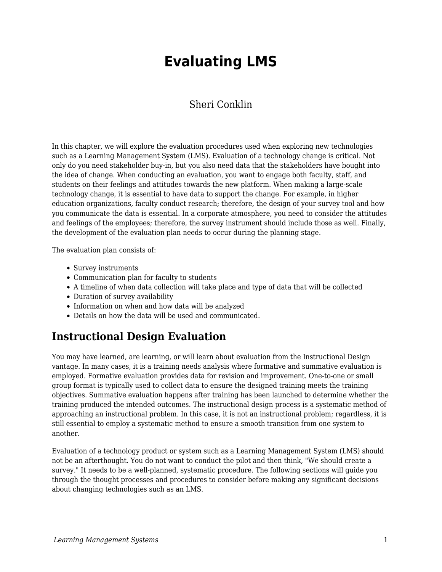# **Evaluating LMS**

### Sheri Conklin

In this chapter, we will explore the evaluation procedures used when exploring new technologies such as a Learning Management System (LMS). Evaluation of a technology change is critical. Not only do you need stakeholder buy-in, but you also need data that the stakeholders have bought into the idea of change. When conducting an evaluation, you want to engage both faculty, staff, and students on their feelings and attitudes towards the new platform. When making a large-scale technology change, it is essential to have data to support the change. For example, in higher education organizations, faculty conduct research; therefore, the design of your survey tool and how you communicate the data is essential. In a corporate atmosphere, you need to consider the attitudes and feelings of the employees; therefore, the survey instrument should include those as well. Finally, the development of the evaluation plan needs to occur during the planning stage.

The evaluation plan consists of:

- Survey instruments
- Communication plan for faculty to students
- A timeline of when data collection will take place and type of data that will be collected
- Duration of survey availability
- Information on when and how data will be analyzed
- Details on how the data will be used and communicated.

### **Instructional Design Evaluation**

You may have learned, are learning, or will learn about evaluation from the Instructional Design vantage. In many cases, it is a training needs analysis where formative and summative evaluation is employed. Formative evaluation provides data for revision and improvement. One-to-one or small group format is typically used to collect data to ensure the designed training meets the training objectives. Summative evaluation happens after training has been launched to determine whether the training produced the intended outcomes. The instructional design process is a systematic method of approaching an instructional problem. In this case, it is not an instructional problem; regardless, it is still essential to employ a systematic method to ensure a smooth transition from one system to another.

Evaluation of a technology product or system such as a Learning Management System (LMS) should not be an afterthought. You do not want to conduct the pilot and then think, "We should create a survey." It needs to be a well-planned, systematic procedure. The following sections will guide you through the thought processes and procedures to consider before making any significant decisions about changing technologies such as an LMS.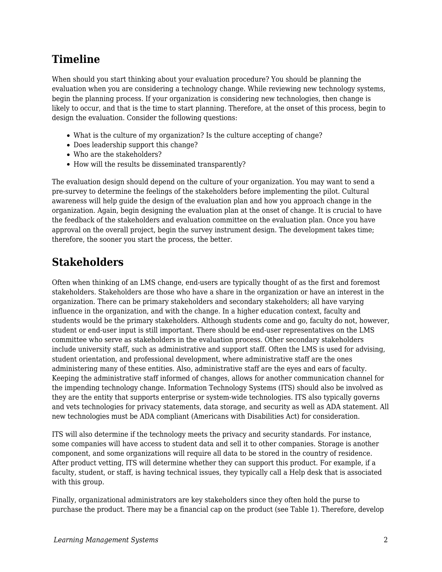## **Timeline**

When should you start thinking about your evaluation procedure? You should be planning the evaluation when you are considering a technology change. While reviewing new technology systems, begin the planning process. If your organization is considering new technologies, then change is likely to occur, and that is the time to start planning. Therefore, at the onset of this process, begin to design the evaluation. Consider the following questions:

- What is the culture of my organization? Is the culture accepting of change?
- Does leadership support this change?
- Who are the stakeholders?
- How will the results be disseminated transparently?

The evaluation design should depend on the culture of your organization. You may want to send a pre-survey to determine the feelings of the stakeholders before implementing the pilot. Cultural awareness will help guide the design of the evaluation plan and how you approach change in the organization. Again, begin designing the evaluation plan at the onset of change. It is crucial to have the feedback of the stakeholders and evaluation committee on the evaluation plan. Once you have approval on the overall project, begin the survey instrument design. The development takes time; therefore, the sooner you start the process, the better.

## **Stakeholders**

Often when thinking of an LMS change, end-users are typically thought of as the first and foremost stakeholders. Stakeholders are those who have a share in the organization or have an interest in the organization. There can be primary stakeholders and secondary stakeholders; all have varying influence in the organization, and with the change. In a higher education context, faculty and students would be the primary stakeholders. Although students come and go, faculty do not, however, student or end-user input is still important. There should be end-user representatives on the LMS committee who serve as stakeholders in the evaluation process. Other secondary stakeholders include university staff, such as administrative and support staff. Often the LMS is used for advising, student orientation, and professional development, where administrative staff are the ones administering many of these entities. Also, administrative staff are the eyes and ears of faculty. Keeping the administrative staff informed of changes, allows for another communication channel for the impending technology change. Information Technology Systems (ITS) should also be involved as they are the entity that supports enterprise or system-wide technologies. ITS also typically governs and vets technologies for privacy statements, data storage, and security as well as ADA statement. All new technologies must be ADA compliant (Americans with Disabilities Act) for consideration.

ITS will also determine if the technology meets the privacy and security standards. For instance, some companies will have access to student data and sell it to other companies. Storage is another component, and some organizations will require all data to be stored in the country of residence. After product vetting, ITS will determine whether they can support this product. For example, if a faculty, student, or staff, is having technical issues, they typically call a Help desk that is associated with this group.

Finally, organizational administrators are key stakeholders since they often hold the purse to purchase the product. There may be a financial cap on the product (see Table 1). Therefore, develop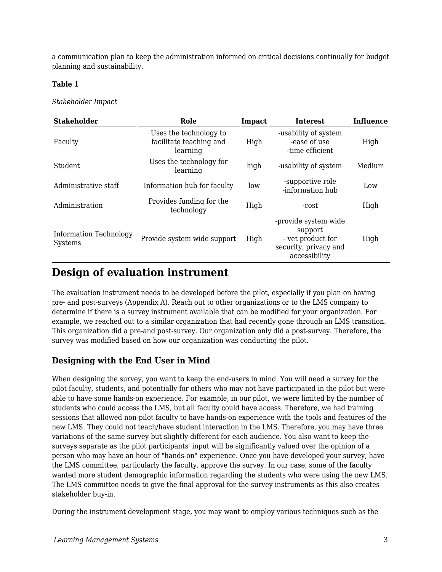a communication plan to keep the administration informed on critical decisions continually for budget planning and sustainability.

#### **Table 1**

#### *Stakeholder Impact*

| <b>Stakeholder</b>                       | Role                                                          | Impact | <b>Interest</b>                                                                                | <b>Influence</b> |
|------------------------------------------|---------------------------------------------------------------|--------|------------------------------------------------------------------------------------------------|------------------|
| Faculty                                  | Uses the technology to<br>facilitate teaching and<br>learning | High   | -usability of system<br>-ease of use<br>-time efficient                                        | High             |
| Student                                  | Uses the technology for<br>learning                           | high   | -usability of system                                                                           | Medium           |
| Administrative staff                     | Information hub for faculty                                   | low    | -supportive role<br>-information hub                                                           | Low              |
| Administration                           | Provides funding for the<br>technology                        | High   | -cost                                                                                          | High             |
| <b>Information Technology</b><br>Systems | Provide system wide support                                   | High   | -provide system wide<br>support<br>- vet product for<br>security, privacy and<br>accessibility | High             |

### **Design of evaluation instrument**

The evaluation instrument needs to be developed before the pilot, especially if you plan on having pre- and post-surveys (Appendix A). Reach out to other organizations or to the LMS company to determine if there is a survey instrument available that can be modified for your organization. For example, we reached out to a similar organization that had recently gone through an LMS transition. This organization did a pre-and post-survey. Our organization only did a post-survey. Therefore, the survey was modified based on how our organization was conducting the pilot.

### **Designing with the End User in Mind**

When designing the survey, you want to keep the end-users in mind. You will need a survey for the pilot faculty, students, and potentially for others who may not have participated in the pilot but were able to have some hands-on experience. For example, in our pilot, we were limited by the number of students who could access the LMS, but all faculty could have access. Therefore, we had training sessions that allowed non-pilot faculty to have hands-on experience with the tools and features of the new LMS. They could not teach/have student interaction in the LMS. Therefore, you may have three variations of the same survey but slightly different for each audience. You also want to keep the surveys separate as the pilot participants' input will be significantly valued over the opinion of a person who may have an hour of "hands-on" experience. Once you have developed your survey, have the LMS committee, particularly the faculty, approve the survey. In our case, some of the faculty wanted more student demographic information regarding the students who were using the new LMS. The LMS committee needs to give the final approval for the survey instruments as this also creates stakeholder buy-in.

During the instrument development stage, you may want to employ various techniques such as the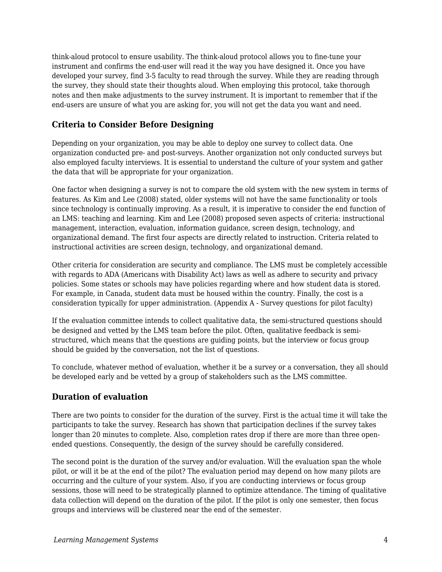think-aloud protocol to ensure usability. The think-aloud protocol allows you to fine-tune your instrument and confirms the end-user will read it the way you have designed it. Once you have developed your survey, find 3-5 faculty to read through the survey. While they are reading through the survey, they should state their thoughts aloud. When employing this protocol, take thorough notes and then make adjustments to the survey instrument. It is important to remember that if the end-users are unsure of what you are asking for, you will not get the data you want and need.

### **Criteria to Consider Before Designing**

Depending on your organization, you may be able to deploy one survey to collect data. One organization conducted pre- and post-surveys. Another organization not only conducted surveys but also employed faculty interviews. It is essential to understand the culture of your system and gather the data that will be appropriate for your organization.

One factor when designing a survey is not to compare the old system with the new system in terms of features. As Kim and Lee (2008) stated, older systems will not have the same functionality or tools since technology is continually improving. As a result, it is imperative to consider the end function of an LMS: teaching and learning. Kim and Lee (2008) proposed seven aspects of criteria: instructional management, interaction, evaluation, information guidance, screen design, technology, and organizational demand. The first four aspects are directly related to instruction. Criteria related to instructional activities are screen design, technology, and organizational demand.

Other criteria for consideration are security and compliance. The LMS must be completely accessible with regards to ADA (Americans with Disability Act) laws as well as adhere to security and privacy policies. Some states or schools may have policies regarding where and how student data is stored. For example, in Canada, student data must be housed within the country. Finally, the cost is a consideration typically for upper administration. (Appendix A - Survey questions for pilot faculty)

If the evaluation committee intends to collect qualitative data, the semi-structured questions should be designed and vetted by the LMS team before the pilot. Often, qualitative feedback is semistructured, which means that the questions are guiding points, but the interview or focus group should be guided by the conversation, not the list of questions.

To conclude, whatever method of evaluation, whether it be a survey or a conversation, they all should be developed early and be vetted by a group of stakeholders such as the LMS committee.

### **Duration of evaluation**

There are two points to consider for the duration of the survey. First is the actual time it will take the participants to take the survey. Research has shown that participation declines if the survey takes longer than 20 minutes to complete. Also, completion rates drop if there are more than three openended questions. Consequently, the design of the survey should be carefully considered.

The second point is the duration of the survey and/or evaluation. Will the evaluation span the whole pilot, or will it be at the end of the pilot? The evaluation period may depend on how many pilots are occurring and the culture of your system. Also, if you are conducting interviews or focus group sessions, those will need to be strategically planned to optimize attendance. The timing of qualitative data collection will depend on the duration of the pilot. If the pilot is only one semester, then focus groups and interviews will be clustered near the end of the semester.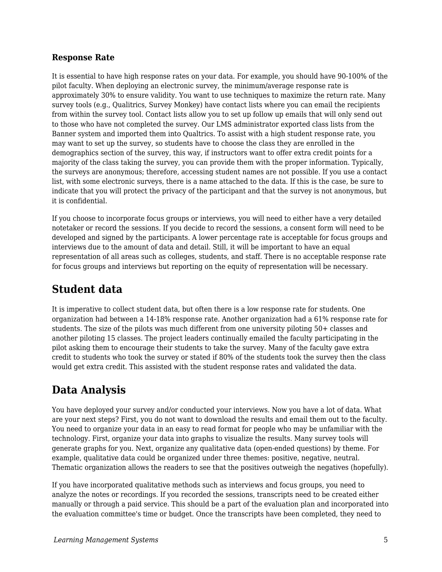### **Response Rate**

It is essential to have high response rates on your data. For example, you should have 90-100% of the pilot faculty. When deploying an electronic survey, the minimum/average response rate is approximately 30% to ensure validity. You want to use techniques to maximize the return rate. Many survey tools (e.g., Qualitrics, Survey Monkey) have contact lists where you can email the recipients from within the survey tool. Contact lists allow you to set up follow up emails that will only send out to those who have not completed the survey. Our LMS administrator exported class lists from the Banner system and imported them into Qualtrics. To assist with a high student response rate, you may want to set up the survey, so students have to choose the class they are enrolled in the demographics section of the survey, this way, if instructors want to offer extra credit points for a majority of the class taking the survey, you can provide them with the proper information. Typically, the surveys are anonymous; therefore, accessing student names are not possible. If you use a contact list, with some electronic surveys, there is a name attached to the data. If this is the case, be sure to indicate that you will protect the privacy of the participant and that the survey is not anonymous, but it is confidential.

If you choose to incorporate focus groups or interviews, you will need to either have a very detailed notetaker or record the sessions. If you decide to record the sessions, a consent form will need to be developed and signed by the participants. A lower percentage rate is acceptable for focus groups and interviews due to the amount of data and detail. Still, it will be important to have an equal representation of all areas such as colleges, students, and staff. There is no acceptable response rate for focus groups and interviews but reporting on the equity of representation will be necessary.

## **Student data**

It is imperative to collect student data, but often there is a low response rate for students. One organization had between a 14-18% response rate. Another organization had a 61% response rate for students. The size of the pilots was much different from one university piloting 50+ classes and another piloting 15 classes. The project leaders continually emailed the faculty participating in the pilot asking them to encourage their students to take the survey. Many of the faculty gave extra credit to students who took the survey or stated if 80% of the students took the survey then the class would get extra credit. This assisted with the student response rates and validated the data.

## **Data Analysis**

You have deployed your survey and/or conducted your interviews. Now you have a lot of data. What are your next steps? First, you do not want to download the results and email them out to the faculty. You need to organize your data in an easy to read format for people who may be unfamiliar with the technology. First, organize your data into graphs to visualize the results. Many survey tools will generate graphs for you. Next, organize any qualitative data (open-ended questions) by theme. For example, qualitative data could be organized under three themes: positive, negative, neutral. Thematic organization allows the readers to see that the positives outweigh the negatives (hopefully).

If you have incorporated qualitative methods such as interviews and focus groups, you need to analyze the notes or recordings. If you recorded the sessions, transcripts need to be created either manually or through a paid service. This should be a part of the evaluation plan and incorporated into the evaluation committee's time or budget. Once the transcripts have been completed, they need to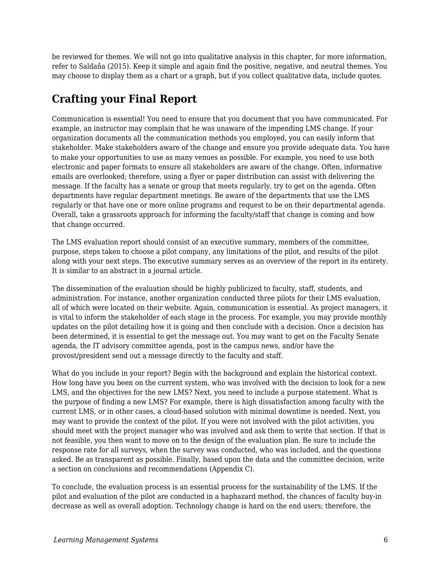be reviewed for themes. We will not go into qualitative analysis in this chapter, for more information, refer to Saldaña (2015). Keep it simple and again find the positive, negative, and neutral themes. You may choose to display them as a chart or a graph, but if you collect qualitative data, include quotes.

## **Crafting your Final Report**

Communication is essential! You need to ensure that you document that you have communicated. For example, an instructor may complain that he was unaware of the impending LMS change. If your organization documents all the communication methods you employed, you can easily inform that stakeholder. Make stakeholders aware of the change and ensure you provide adequate data. You have to make your opportunities to use as many venues as possible. For example, you need to use both electronic and paper formats to ensure all stakeholders are aware of the change. Often, informative emails are overlooked; therefore, using a flyer or paper distribution can assist with delivering the message. If the faculty has a senate or group that meets regularly, try to get on the agenda. Often departments have regular department meetings. Be aware of the departments that use the LMS regularly or that have one or more online programs and request to be on their departmental agenda. Overall, take a grassroots approach for informing the faculty/staff that change is coming and how that change occurred.

The LMS evaluation report should consist of an executive summary, members of the committee, purpose, steps taken to choose a pilot company, any limitations of the pilot, and results of the pilot along with your next steps. The executive summary serves as an overview of the report in its entirety. It is similar to an abstract in a journal article.

The dissemination of the evaluation should be highly publicized to faculty, staff, students, and administration. For instance, another organization conducted three pilots for their LMS evaluation, all of which were located on their website. Again, communication is essential. As project managers, it is vital to inform the stakeholder of each stage in the process. For example, you may provide monthly updates on the pilot detailing how it is going and then conclude with a decision. Once a decision has been determined, it is essential to get the message out. You may want to get on the Faculty Senate agenda, the IT advisory committee agenda, post in the campus news, and/or have the provost/president send out a message directly to the faculty and staff.

What do you include in your report? Begin with the background and explain the historical context. How long have you been on the current system, who was involved with the decision to look for a new LMS, and the objectives for the new LMS? Next, you need to include a purpose statement. What is the purpose of finding a new LMS? For example, there is high dissatisfaction among faculty with the current LMS, or in other cases, a cloud-based solution with minimal downtime is needed. Next, you may want to provide the context of the pilot. If you were not involved with the pilot activities, you should meet with the project manager who was involved and ask them to write that section. If that is not feasible, you then want to move on to the design of the evaluation plan. Be sure to include the response rate for all surveys, when the survey was conducted, who was included, and the questions asked. Be as transparent as possible. Finally, based upon the data and the committee decision, write a section on conclusions and recommendations (Appendix C).

To conclude, the evaluation process is an essential process for the sustainability of the LMS. If the pilot and evaluation of the pilot are conducted in a haphazard method, the chances of faculty buy-in decrease as well as overall adoption. Technology change is hard on the end users; therefore, the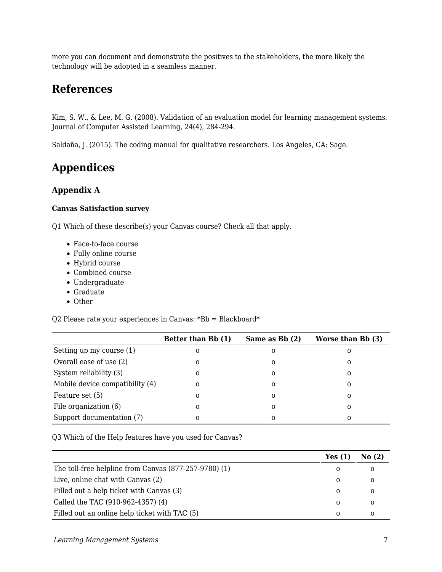more you can document and demonstrate the positives to the stakeholders, the more likely the technology will be adopted in a seamless manner.

### **References**

Kim, S. W., & Lee, M. G. (2008). Validation of an evaluation model for learning management systems. Journal of Computer Assisted Learning, 24(4), 284-294.

Saldaña, J. (2015). The coding manual for qualitative researchers. Los Angeles, CA: Sage.

## **Appendices**

### **Appendix A**

#### **Canvas Satisfaction survey**

Q1 Which of these describe(s) your Canvas course? Check all that apply.

- Face-to-face course
- Fully online course
- Hybrid course
- Combined course
- Undergraduate
- Graduate
- Other

Q2 Please rate your experiences in Canvas: \*Bb = Blackboard\*

|                                 | Better than Bb (1) | Same as Bb (2) | Worse than Bb (3) |
|---------------------------------|--------------------|----------------|-------------------|
| Setting up my course (1)        | 0                  | Ω              | O                 |
| Overall ease of use (2)         | 0                  | 0              | 0                 |
| System reliability (3)          | 0                  | Ω              | 0                 |
| Mobile device compatibility (4) | 0                  | 0              | 0                 |
| Feature set (5)                 | 0                  | 0              | 0                 |
| File organization (6)           | 0                  | 0              | 0                 |
| Support documentation (7)       | 0                  | Ω              | 0                 |

Q3 Which of the Help features have you used for Canvas?

|                                                       | Yes $(1)$ | No(2) |
|-------------------------------------------------------|-----------|-------|
| The toll-free helpline from Canvas (877-257-9780) (1) | 0         |       |
| Live, online chat with Canvas (2)                     | 0         |       |
| Filled out a help ticket with Canvas (3)              | $\Omega$  | O     |
| Called the TAC (910-962-4357) (4)                     | $\Omega$  | O     |
| Filled out an online help ticket with TAC (5)         | 0         |       |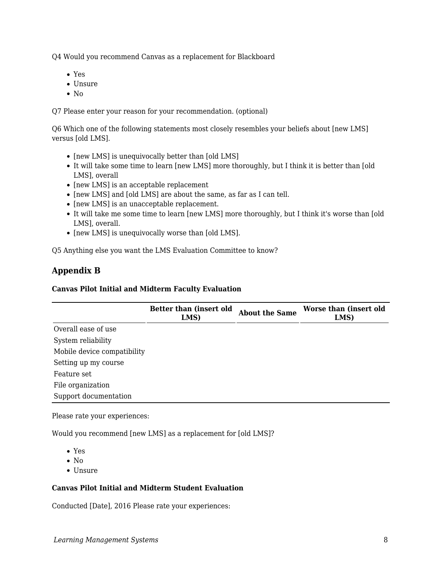Q4 Would you recommend Canvas as a replacement for Blackboard

- Yes
- Unsure
- $\bullet$  No

Q7 Please enter your reason for your recommendation. (optional)

Q6 Which one of the following statements most closely resembles your beliefs about [new LMS] versus [old LMS].

- $\bullet$  [new LMS] is unequivocally better than [old LMS]
- It will take some time to learn [new LMS] more thoroughly, but I think it is better than [old LMS], overall
- $\bullet$  [new LMS] is an acceptable replacement
- [new LMS] and [old LMS] are about the same, as far as I can tell.
- [new LMS] is an unacceptable replacement.
- It will take me some time to learn [new LMS] more thoroughly, but I think it's worse than [old LMS], overall.
- [new LMS] is unequivocally worse than [old LMS].

Q5 Anything else you want the LMS Evaluation Committee to know?

### **Appendix B**

#### **Canvas Pilot Initial and Midterm Faculty Evaluation**

|                             | Better than (insert old<br>LMS) | <b>About the Same</b> | Worse than (insert old<br>LMS) |
|-----------------------------|---------------------------------|-----------------------|--------------------------------|
| Overall ease of use         |                                 |                       |                                |
| System reliability          |                                 |                       |                                |
| Mobile device compatibility |                                 |                       |                                |
| Setting up my course        |                                 |                       |                                |
| Feature set                 |                                 |                       |                                |
| File organization           |                                 |                       |                                |
| Support documentation       |                                 |                       |                                |

Please rate your experiences:

Would you recommend [new LMS] as a replacement for [old LMS]?

Yes

- $\bullet$  No
- Unsure

#### **Canvas Pilot Initial and Midterm Student Evaluation**

Conducted [Date], 2016 Please rate your experiences: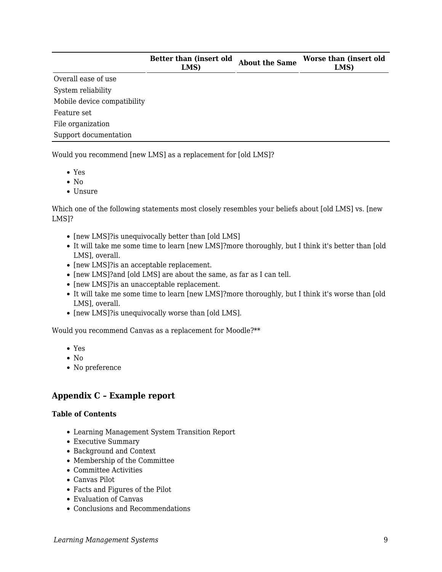|                             | Better than (insert old<br>LMS) | <b>About the Same</b> | Worse than (insert old<br>LMS) |
|-----------------------------|---------------------------------|-----------------------|--------------------------------|
| Overall ease of use         |                                 |                       |                                |
| System reliability          |                                 |                       |                                |
| Mobile device compatibility |                                 |                       |                                |
| Feature set                 |                                 |                       |                                |
| File organization           |                                 |                       |                                |
| Support documentation       |                                 |                       |                                |

Would you recommend [new LMS] as a replacement for [old LMS]?

- Yes
- $\bullet$  No
- Unsure

Which one of the following statements most closely resembles your beliefs about [old LMS] vs. [new LMS]?

- [new LMS]?is unequivocally better than [old LMS]
- It will take me some time to learn [new LMS]?more thoroughly, but I think it's better than [old LMS], overall.
- [new LMS]?is an acceptable replacement.
- [new LMS]?and [old LMS] are about the same, as far as I can tell.
- [new LMS]?is an unacceptable replacement.
- It will take me some time to learn [new LMS]?more thoroughly, but I think it's worse than [old LMS], overall.
- [new LMS]?is unequivocally worse than [old LMS].

Would you recommend Canvas as a replacement for Moodle?\*\*

- Yes
- $\bullet$  No
- No preference

#### **Appendix C – Example report**

#### **Table of Contents**

- Learning Management System Transition Report
- Executive Summary
- Background and Context
- Membership of the Committee
- Committee Activities
- Canvas Pilot
- Facts and Figures of the Pilot
- Evaluation of Canvas
- Conclusions and Recommendations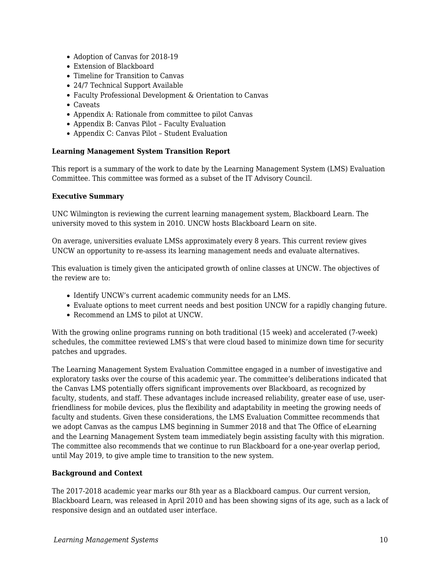- Adoption of Canvas for 2018-19
- Extension of Blackboard
- Timeline for Transition to Canvas
- 24/7 Technical Support Available
- Faculty Professional Development & Orientation to Canvas
- Caveats
- Appendix A: Rationale from committee to pilot Canvas
- Appendix B: Canvas Pilot Faculty Evaluation
- Appendix C: Canvas Pilot Student Evaluation

#### **Learning Management System Transition Report**

This report is a summary of the work to date by the Learning Management System (LMS) Evaluation Committee. This committee was formed as a subset of the IT Advisory Council.

#### **Executive Summary**

UNC Wilmington is reviewing the current learning management system, Blackboard Learn. The university moved to this system in 2010. UNCW hosts Blackboard Learn on site.

On average, universities evaluate LMSs approximately every 8 years. This current review gives UNCW an opportunity to re-assess its learning management needs and evaluate alternatives.

This evaluation is timely given the anticipated growth of online classes at UNCW. The objectives of the review are to:

- Identify UNCW's current academic community needs for an LMS.
- Evaluate options to meet current needs and best position UNCW for a rapidly changing future.
- Recommend an LMS to pilot at UNCW.

With the growing online programs running on both traditional (15 week) and accelerated (7-week) schedules, the committee reviewed LMS's that were cloud based to minimize down time for security patches and upgrades.

The Learning Management System Evaluation Committee engaged in a number of investigative and exploratory tasks over the course of this academic year. The committee's deliberations indicated that the Canvas LMS potentially offers significant improvements over Blackboard, as recognized by faculty, students, and staff. These advantages include increased reliability, greater ease of use, userfriendliness for mobile devices, plus the flexibility and adaptability in meeting the growing needs of faculty and students. Given these considerations, the LMS Evaluation Committee recommends that we adopt Canvas as the campus LMS beginning in Summer 2018 and that The Office of eLearning and the Learning Management System team immediately begin assisting faculty with this migration. The committee also recommends that we continue to run Blackboard for a one-year overlap period, until May 2019, to give ample time to transition to the new system.

#### **Background and Context**

The 2017-2018 academic year marks our 8th year as a Blackboard campus. Our current version, Blackboard Learn, was released in April 2010 and has been showing signs of its age, such as a lack of responsive design and an outdated user interface.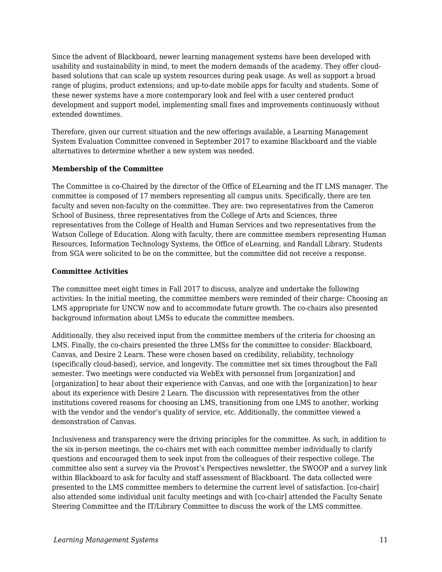Since the advent of Blackboard, newer learning management systems have been developed with usability and sustainability in mind, to meet the modern demands of the academy. They offer cloudbased solutions that can scale up system resources during peak usage. As well as support a broad range of plugins, product extensions; and up-to-date mobile apps for faculty and students. Some of these newer systems have a more contemporary look and feel with a user centered product development and support model, implementing small fixes and improvements continuously without extended downtimes.

Therefore, given our current situation and the new offerings available, a Learning Management System Evaluation Committee convened in September 2017 to examine Blackboard and the viable alternatives to determine whether a new system was needed.

#### **Membership of the Committee**

The Committee is co-Chaired by the director of the Office of ELearning and the IT LMS manager. The committee is composed of 17 members representing all campus units. Specifically, there are ten faculty and seven non-faculty on the committee. They are: two representatives from the Cameron School of Business, three representatives from the College of Arts and Sciences, three representatives from the College of Health and Human Services and two representatives from the Watson College of Education. Along with faculty, there are committee members representing Human Resources, Information Technology Systems, the Office of eLearning, and Randall Library. Students from SGA were solicited to be on the committee, but the committee did not receive a response.

#### **Committee Activities**

The committee meet eight times in Fall 2017 to discuss, analyze and undertake the following activities: In the initial meeting, the committee members were reminded of their charge: Choosing an LMS appropriate for UNCW now and to accommodate future growth. The co-chairs also presented background information about LMSs to educate the committee members.

Additionally, they also received input from the committee members of the criteria for choosing an LMS. Finally, the co-chairs presented the three LMSs for the committee to consider: Blackboard, Canvas, and Desire 2 Learn. These were chosen based on credibility, reliability, technology (specifically cloud-based), service, and longevity. The committee met six times throughout the Fall semester. Two meetings were conducted via WebEx with personnel from [organization] and [organization] to hear about their experience with Canvas, and one with the [organization] to hear about its experience with Desire 2 Learn. The discussion with representatives from the other institutions covered reasons for choosing an LMS, transitioning from one LMS to another, working with the vendor and the vendor's quality of service, etc. Additionally, the committee viewed a demonstration of Canvas.

Inclusiveness and transparency were the driving principles for the committee. As such, in addition to the six in-person meetings, the co-chairs met with each committee member individually to clarify questions and encouraged them to seek input from the colleagues of their respective college. The committee also sent a survey via the Provost's Perspectives newsletter, the SWOOP and a survey link within Blackboard to ask for faculty and staff assessment of Blackboard. The data collected were presented to the LMS committee members to determine the current level of satisfaction. [co-chair] also attended some individual unit faculty meetings and with [co-chair] attended the Faculty Senate Steering Committee and the IT/Library Committee to discuss the work of the LMS committee.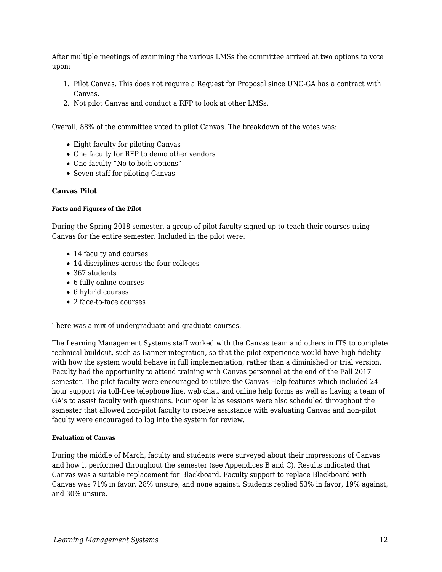After multiple meetings of examining the various LMSs the committee arrived at two options to vote upon:

- 1. Pilot Canvas. This does not require a Request for Proposal since UNC-GA has a contract with Canvas.
- 2. Not pilot Canvas and conduct a RFP to look at other LMSs.

Overall, 88% of the committee voted to pilot Canvas. The breakdown of the votes was:

- Eight faculty for piloting Canvas
- One faculty for RFP to demo other vendors
- One faculty "No to both options"
- Seven staff for piloting Canvas

#### **Canvas Pilot**

#### **Facts and Figures of the Pilot**

During the Spring 2018 semester, a group of pilot faculty signed up to teach their courses using Canvas for the entire semester. Included in the pilot were:

- 14 faculty and courses
- 14 disciplines across the four colleges
- 367 students
- 6 fully online courses
- 6 hybrid courses
- 2 face-to-face courses

There was a mix of undergraduate and graduate courses.

The Learning Management Systems staff worked with the Canvas team and others in ITS to complete technical buildout, such as Banner integration, so that the pilot experience would have high fidelity with how the system would behave in full implementation, rather than a diminished or trial version. Faculty had the opportunity to attend training with Canvas personnel at the end of the Fall 2017 semester. The pilot faculty were encouraged to utilize the Canvas Help features which included 24 hour support via toll-free telephone line, web chat, and online help forms as well as having a team of GA's to assist faculty with questions. Four open labs sessions were also scheduled throughout the semester that allowed non-pilot faculty to receive assistance with evaluating Canvas and non-pilot faculty were encouraged to log into the system for review.

#### **Evaluation of Canvas**

During the middle of March, faculty and students were surveyed about their impressions of Canvas and how it performed throughout the semester (see Appendices B and C). Results indicated that Canvas was a suitable replacement for Blackboard. Faculty support to replace Blackboard with Canvas was 71% in favor, 28% unsure, and none against. Students replied 53% in favor, 19% against, and 30% unsure.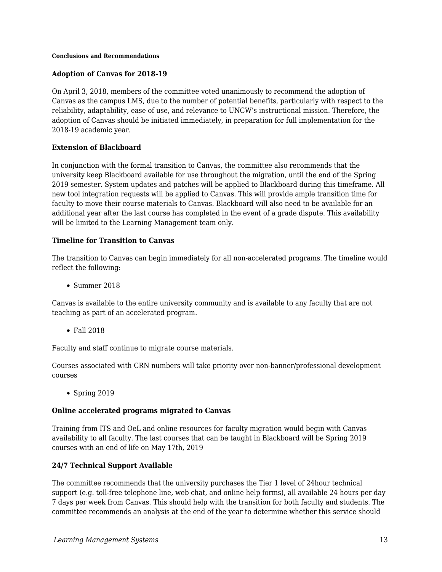#### **Conclusions and Recommendations**

#### **Adoption of Canvas for 2018-19**

On April 3, 2018, members of the committee voted unanimously to recommend the adoption of Canvas as the campus LMS, due to the number of potential benefits, particularly with respect to the reliability, adaptability, ease of use, and relevance to UNCW's instructional mission. Therefore, the adoption of Canvas should be initiated immediately, in preparation for full implementation for the 2018-19 academic year.

#### **Extension of Blackboard**

In conjunction with the formal transition to Canvas, the committee also recommends that the university keep Blackboard available for use throughout the migration, until the end of the Spring 2019 semester. System updates and patches will be applied to Blackboard during this timeframe. All new tool integration requests will be applied to Canvas. This will provide ample transition time for faculty to move their course materials to Canvas. Blackboard will also need to be available for an additional year after the last course has completed in the event of a grade dispute. This availability will be limited to the Learning Management team only.

#### **Timeline for Transition to Canvas**

The transition to Canvas can begin immediately for all non-accelerated programs. The timeline would reflect the following:

Summer 2018

Canvas is available to the entire university community and is available to any faculty that are not teaching as part of an accelerated program.

Fall 2018

Faculty and staff continue to migrate course materials.

Courses associated with CRN numbers will take priority over non-banner/professional development courses

• Spring 2019

#### **Online accelerated programs migrated to Canvas**

Training from ITS and OeL and online resources for faculty migration would begin with Canvas availability to all faculty. The last courses that can be taught in Blackboard will be Spring 2019 courses with an end of life on May 17th, 2019

#### **24/7 Technical Support Available**

The committee recommends that the university purchases the Tier 1 level of 24hour technical support (e.g. toll-free telephone line, web chat, and online help forms), all available 24 hours per day 7 days per week from Canvas. This should help with the transition for both faculty and students. The committee recommends an analysis at the end of the year to determine whether this service should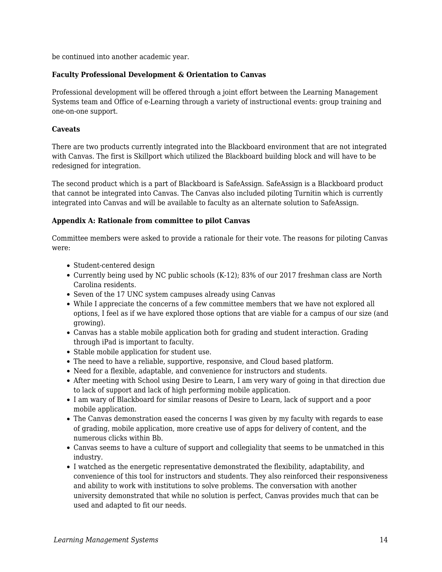be continued into another academic year.

#### **Faculty Professional Development & Orientation to Canvas**

Professional development will be offered through a joint effort between the Learning Management Systems team and Office of e-Learning through a variety of instructional events: group training and one-on-one support.

#### **Caveats**

There are two products currently integrated into the Blackboard environment that are not integrated with Canvas. The first is Skillport which utilized the Blackboard building block and will have to be redesigned for integration.

The second product which is a part of Blackboard is SafeAssign. SafeAssign is a Blackboard product that cannot be integrated into Canvas. The Canvas also included piloting Turnitin which is currently integrated into Canvas and will be available to faculty as an alternate solution to SafeAssign.

#### **Appendix A: Rationale from committee to pilot Canvas**

Committee members were asked to provide a rationale for their vote. The reasons for piloting Canvas were:

- Student-centered design
- Currently being used by NC public schools (K-12); 83% of our 2017 freshman class are North Carolina residents.
- Seven of the 17 UNC system campuses already using Canvas
- While I appreciate the concerns of a few committee members that we have not explored all options, I feel as if we have explored those options that are viable for a campus of our size (and growing).
- Canvas has a stable mobile application both for grading and student interaction. Grading through iPad is important to faculty.
- Stable mobile application for student use.
- The need to have a reliable, supportive, responsive, and Cloud based platform.
- Need for a flexible, adaptable, and convenience for instructors and students.
- After meeting with School using Desire to Learn, I am very wary of going in that direction due to lack of support and lack of high performing mobile application.
- I am wary of Blackboard for similar reasons of Desire to Learn, lack of support and a poor mobile application.
- The Canvas demonstration eased the concerns I was given by my faculty with regards to ease of grading, mobile application, more creative use of apps for delivery of content, and the numerous clicks within Bb.
- Canvas seems to have a culture of support and collegiality that seems to be unmatched in this industry.
- I watched as the energetic representative demonstrated the flexibility, adaptability, and convenience of this tool for instructors and students. They also reinforced their responsiveness and ability to work with institutions to solve problems. The conversation with another university demonstrated that while no solution is perfect, Canvas provides much that can be used and adapted to fit our needs.